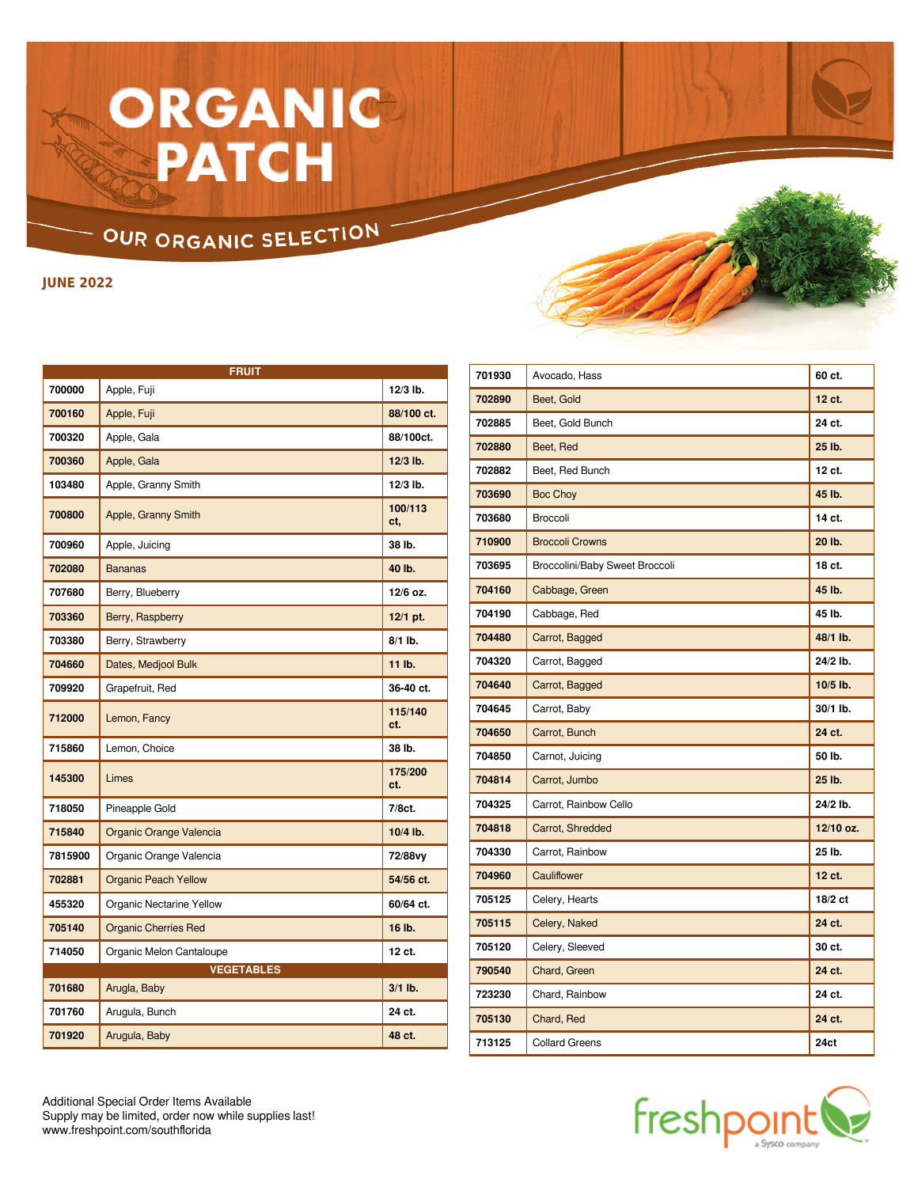## ORGANIC **PATCH**

## OUR ORGANIC SELECTION

**JUNE 2022**

|         | <b>FRUIT</b>                    |                |  |  |
|---------|---------------------------------|----------------|--|--|
| 700000  | Apple, Fuji                     | 12/3 lb.       |  |  |
| 700160  | Apple, Fuji                     | 88/100 ct.     |  |  |
| 700320  | Apple, Gala                     | 88/100ct.      |  |  |
| 700360  | Apple, Gala                     | $12/3$ lb.     |  |  |
| 103480  | Apple, Granny Smith             | $12/3$ lb.     |  |  |
| 700800  | Apple, Granny Smith             | 100/113<br>ct. |  |  |
| 700960  | Apple, Juicing                  | 38 lb.         |  |  |
| 702080  | <b>Bananas</b>                  | 40 lb.         |  |  |
| 707680  | Berry, Blueberry                | 12/6 oz.       |  |  |
| 703360  | Berry, Raspberry                | 12/1 pt.       |  |  |
| 703380  | Berry, Strawberry               | $8/1$ lb.      |  |  |
| 704660  | Dates, Medjool Bulk             | 11 lb.         |  |  |
| 709920  | Grapefruit, Red                 | 36-40 ct.      |  |  |
| 712000  | Lemon, Fancy                    | 115/140<br>ct. |  |  |
| 715860  | Lemon, Choice                   | 38 lb.         |  |  |
| 145300  | Limes                           | 175/200<br>ct. |  |  |
| 718050  | Pineapple Gold                  | 7/8ct.         |  |  |
| 715840  | Organic Orange Valencia         | 10/4 lb.       |  |  |
| 7815900 | Organic Orange Valencia         | 72/88vy        |  |  |
| 702881  | <b>Organic Peach Yellow</b>     | 54/56 ct.      |  |  |
| 455320  | <b>Organic Nectarine Yellow</b> | 60/64 ct.      |  |  |
| 705140  | <b>Organic Cherries Red</b>     | 16 lb.         |  |  |
| 714050  | Organic Melon Cantaloupe        | 12 ct.         |  |  |
|         | <b>VEGETABLES</b>               |                |  |  |
| 701680  | Arugla, Baby                    | $3/1$ lb.      |  |  |
| 701760  | Arugula, Bunch                  | 24 ct.         |  |  |
| 701920  | Arugula, Baby                   | 48 ct.         |  |  |

| 701930 | Avocado, Hass                  | 60 ct.    |
|--------|--------------------------------|-----------|
| 702890 | Beet, Gold                     | 12 ct.    |
| 702885 | Beet, Gold Bunch               | 24 ct.    |
| 702880 | Beet, Red                      | 25 lb.    |
| 702882 | Beet, Red Bunch                | 12 ct.    |
| 703690 | <b>Boc Choy</b>                | 45 lb.    |
| 703680 | Broccoli                       | 14 ct.    |
| 710900 | <b>Broccoli Crowns</b>         | 20 lb.    |
| 703695 | Broccolini/Baby Sweet Broccoli | 18 ct.    |
| 704160 | Cabbage, Green                 | 45 lb.    |
| 704190 | Cabbage, Red                   | 45 lb.    |
| 704480 | Carrot, Bagged                 | 48/1 lb.  |
| 704320 | Carrot, Bagged                 | 24/2 lb.  |
| 704640 | Carrot, Bagged                 | 10/5 lb.  |
| 704645 | Carrot, Baby                   | 30/1 lb.  |
| 704650 | Carrot, Bunch                  | 24 ct.    |
| 704850 | Carnot, Juicing                | 50 lb.    |
| 704814 | Carrot, Jumbo                  | 25 lb.    |
| 704325 | Carrot, Rainbow Cello          | 24/2 lb.  |
| 704818 | Carrot, Shredded               | 12/10 oz. |
| 704330 | Carrot, Rainbow                | 25 lb.    |
| 704960 | Cauliflower                    | 12 ct.    |
| 705125 | Celery, Hearts                 | 18/2 ct   |
| 705115 | Celery, Naked                  | 24 ct.    |
| 705120 | Celery, Sleeved                | 30 ct.    |
| 790540 | Chard, Green                   | 24 ct.    |
| 723230 | Chard, Rainbow                 | 24 ct.    |
| 705130 | Chard, Red                     | 24 ct.    |
| 713125 | <b>Collard Greens</b>          | 24ct      |



Additional Special Order Items Available Supply may be limited, order now while supplies last! www.freshpoint.com/southflorida